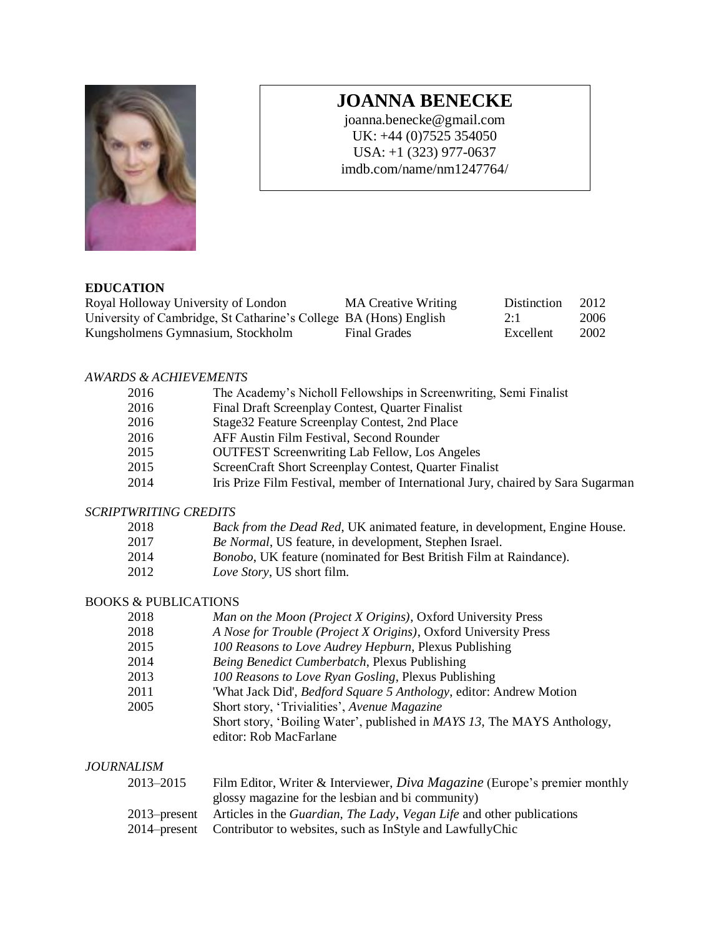

# **JOANNA BENECKE**

joanna.benecke@gmail.com UK: +44 (0)7525 354050 USA: +1 (323) 977-0637 imdb.com/name/nm1247764/

#### **EDUCATION**

| Royal Holloway University of London                               | <b>MA Creative Writing</b> | Distinction | 2012 |
|-------------------------------------------------------------------|----------------------------|-------------|------|
| University of Cambridge, St Catharine's College BA (Hons) English |                            | 2:1         | 2006 |
| Kungsholmens Gymnasium, Stockholm                                 | Final Grades               | Excellent   | 2002 |

## *AWARDS & ACHIEVEMENTS*

| 2016 | The Academy's Nicholl Fellowships in Screenwriting, Semi Finalist                |
|------|----------------------------------------------------------------------------------|
| 2016 | Final Draft Screenplay Contest, Quarter Finalist                                 |
| 2016 | Stage 32 Feature Screenplay Contest, 2nd Place                                   |
| 2016 | AFF Austin Film Festival, Second Rounder                                         |
| 2015 | <b>OUTFEST Screenwriting Lab Fellow, Los Angeles</b>                             |
| 2015 | ScreenCraft Short Screenplay Contest, Quarter Finalist                           |
| 2014 | Iris Prize Film Festival, member of International Jury, chaired by Sara Sugarman |

#### *SCRIPTWRITING CREDITS*

| 2018                 |  |  |  |  |  | Back from the Dead Red, UK animated feature, in development, Engine House. |  |
|----------------------|--|--|--|--|--|----------------------------------------------------------------------------|--|
| $\sim$ $\sim$ $\sim$ |  |  |  |  |  |                                                                            |  |

- 2017 *Be Normal*, US feature, in development, Stephen Israel.
- 2014 *Bonobo*, UK feature (nominated for Best British Film at Raindance).
- 2012 *Love Story*, US short film.

# BOOKS & PUBLICATIONS

| 2018 | Man on the Moon (Project X Origins), Oxford University Press                    |
|------|---------------------------------------------------------------------------------|
| 2018 | A Nose for Trouble (Project X Origins), Oxford University Press                 |
| 2015 | 100 Reasons to Love Audrey Hepburn, Plexus Publishing                           |
| 2014 | Being Benedict Cumberbatch, Plexus Publishing                                   |
| 2013 | 100 Reasons to Love Ryan Gosling, Plexus Publishing                             |
| 2011 | 'What Jack Did', <i>Bedford Square 5 Anthology</i> , editor: Andrew Motion      |
| 2005 | Short story, 'Trivialities', Avenue Magazine                                    |
|      | Short story, 'Boiling Water', published in <i>MAYS 13</i> , The MAYS Anthology, |
|      | editor: Rob MacFarlane                                                          |

### *JOURNALISM*

| 2013–2015 | Film Editor, Writer & Interviewer, <i>Diva Magazine</i> (Europe's premier monthly                         |
|-----------|-----------------------------------------------------------------------------------------------------------|
|           | glossy magazine for the lesbian and bi community)                                                         |
|           | 2013–present Articles in the <i>Guardian</i> , <i>The Lady</i> , <i>Vegan Life</i> and other publications |
|           | 2014–present Contributor to websites, such as InStyle and LawfullyChic                                    |